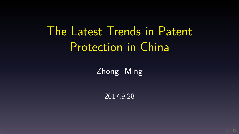# The Latest Trends in Patent Protection in China

Zhong Ming

2017.9.28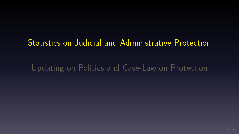## Statistics on Judicial and Administrative Protection

Updating on Politics and Case-Law on Protection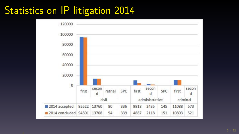#### Statistics on IP litigation 2014

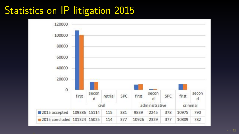#### Statistics on IP litigation 2015

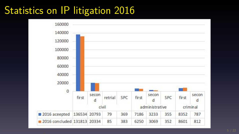#### Statistics on IP litigation 2016

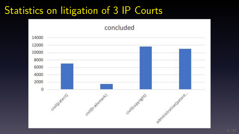#### Statistics on litigation of 3 IP Courts

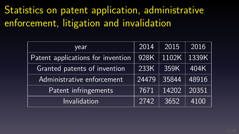#### Statistics on patent application, administrative enforcement, litigation and invalidation

| year                              | 2014  | 2015  | 2016  |
|-----------------------------------|-------|-------|-------|
| Patent applications for invention | 928K  | 1102K | 1339K |
| Granted patents of invention      | 233K  | 359K  | 404K  |
| Administrative enforcement        | 24479 | 35844 | 48916 |
| Patent infringements              | 7671  | 14202 | 20351 |
| Invalidation                      | 2742  | 3652  | 4100  |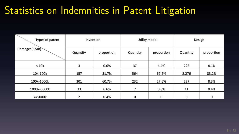#### Statistics on Indemnities in Patent Litigation

| Types of patent<br>Damages(RMB) | Invention |            | Utility model |             | Design   |            |  |
|---------------------------------|-----------|------------|---------------|-------------|----------|------------|--|
|                                 | Quantity  | proportion | Quantity      | proportion  | Quantity | proportion |  |
| < 10k                           | 3         | 0.6%       | 37            | 4.4%        | 223      | 8.1%       |  |
| 10k-100k                        | 157       | 31.7%      | 564           | 67.2%       | 2,276    | 83.2%      |  |
| 100k-1000k                      | 301       | 60.7%      | 232           | 27.6%       | 227      | 8.3%       |  |
| 1000k-5000k                     | 33        | 6.6%       | 7             | 0.8%        | 11       | 0.4%       |  |
| $>= 5000k$                      | h         | 0.4%       | $\mathbf{0}$  | $\mathbf 0$ | O        | 0          |  |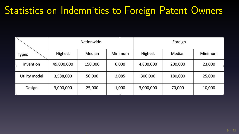#### Statistics on Indemnities to Foreign Patent Owners

| <b>Types</b>  |            | Nationwide |         | Foreign   |         |         |  |
|---------------|------------|------------|---------|-----------|---------|---------|--|
|               | Highest    | Median     | Minimum | Highest   | Median  | Minimum |  |
| invention     | 49,000,000 | 150,000    | 6,000   | 4,800,000 | 200,000 | 23,000  |  |
| Utility model | 3,588,000  | 50,000     | 2,085   | 300,000   | 180,000 | 25,000  |  |
| Design        | 3,000,000  | 25,000     | 1,000   | 3,000,000 | 70,000  | 10,000  |  |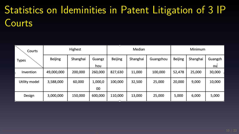# Statistics on Ideminities in Patent Litigation of 3 IP Courts

| Courts        | Highest        |          |         | Median         |          |           | Minimum        |          |         |
|---------------|----------------|----------|---------|----------------|----------|-----------|----------------|----------|---------|
| <b>Types</b>  | <b>Beijing</b> | Shanghai | Guangz  | <b>Beijing</b> | Shanghai | Guangzhou | <b>Beijing</b> | Shanghai | Guangzh |
|               |                |          | hou     |                |          |           |                |          | ou      |
| Invention     | 49,000,000     | 200,000  | 260,000 | 827,630        | 11,000   | 100,000   | 52,478         | 25,000   | 30,000  |
| Utility model | 3,588,000      | 60,000   | 1,000,0 | 100.000        | 32,500   | 25.000    | 20,000         | 9,000    | 10,000  |
|               |                |          | 00      |                |          |           |                |          |         |
| Design        | 3,000,000      | 150,000  | 600,000 | 110,000        | 13,000   | 25,000    | 5,000          | 6,000    | 5,000   |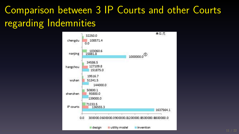#### Comparison between 3 IP Courts and other Courts regarding Indemnities

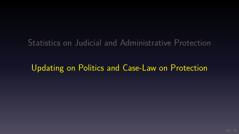Statistics on Judicial and Administrative Protection

Updating on Politics and Case-Law on Protection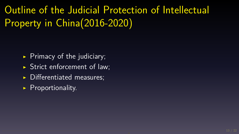Outline of the Judicial Protection of Intellectual Property in China(2016-2020)

- $\triangleright$  Primacy of the judiciary;
- ▶ Strict enforcement of law;
- $\triangleright$  Differentiated measures;
- ▶ Proportionality.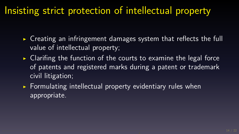#### Insisting strict protection of intellectual property

- ▶ Creating an infringement damages system that reflects the full value of intellectual property;
- $\triangleright$  Clarifing the function of the courts to examine the legal force of patents and registered marks during a patent or trademark civil litigation;
- $\triangleright$  Formulating intellectual property evidentiary rules when appropriate.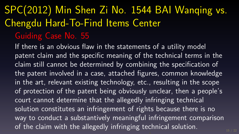## SPC(2012) Min Shen Zi No. 1544 BAI Wanqing vs. Chengdu Hard-To-Find Items Center Guiding Case No. 55

If there is an obvious flaw in the statements of a utility model patent claim and the specific meaning of the technical terms in the claim still cannot be determined by combining the specification of the patent involved in a case, attached figures, common knowledge in the art, relevant existing technology, etc., resulting in the scope of protection of the patent being obviously unclear, then a people's court cannot determine that the allegedly infringing technical solution constitutes an infringement of rights because there is no way to conduct a substantively meaningful infringement comparison of the claim with the allegedly infringing technical solution.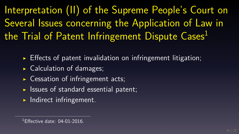Interpretation (II) of the Supreme People's Court on Several Issues concerning the Application of Law in the Trial of Patent Infringement Dispute Cases<sup>1</sup>

 $\triangleright$  Effects of patent invalidation on infringement litigation;

- $\triangleright$  Calculation of damages;
- $\triangleright$  Cessation of infringement acts;
- ▶ Issues of standard essential patent;
- $\blacktriangleright$  Indirect infringement.

 $1$ Effective date: 04-01-2016.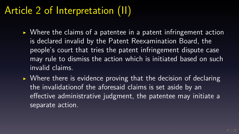#### Article 2 of Interpretation (II)

- $\triangleright$  Where the claims of a patentee in a patent infringement action is declared invalid by the Patent Reexamination Board, the people's court that tries the patent infringement dispute case may rule to dismiss the action which is initiated based on such invalid claims.
- $\triangleright$  Where there is evidence proving that the decision of declaring the invalidationof the aforesaid claims is set aside by an effective administrative judgment, the patentee may initiate a separate action.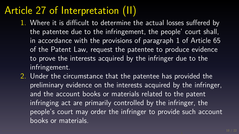#### Article 27 of Interpretation (II)

- 1. Where it is difficult to determine the actual losses suffered by the patentee due to the infringement, the people' court shall, in accordance with the provisions of paragraph 1 of Article 65 of the Patent Law, request the patentee to produce evidence to prove the interests acquired by the infringer due to the infringement.
- 2. Under the circumstance that the patentee has provided the preliminary evidence on the interests acquired by the infringer, and the account books or materials related to the patent infringing act are primarily controlled by the infringer, the people's court may order the infringer to provide such account books or materials.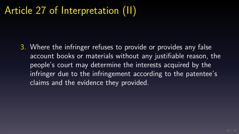#### Article 27 of Interpretation (II)

3. Where the infringer refuses to provide or provides any false account books or materials without any justifiable reason, the people's court may determine the interests acquired by the infringer due to the infringement according to the patentee's claims and the evidence they provided.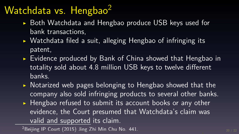#### Watchdata vs. Hengbao $2$

- ▶ Both Watchdata and Hengbao produce USB keys used for bank transactions,
- ▶ Watchdata filed a suit, alleging Hengbao of infringing its patent,
- ▶ Evidence produced by Bank of China showed that Hengbao in totality sold about 4.8 million USB keys to twelve different banks.
- ▶ Notarized web pages belonging to Hengbao showed that the company also sold infringing products to several other banks.
- ▶ Hengbao refused to submit its account books or any other evidence, the Court presumed that Watchdata's claim was valid and supported its claim.

<sup>2</sup>Beijing IP Court (2015) Jing Zhi Min Chu No. 441.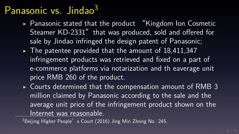#### Panasonic vs. Jindao<sup>3</sup>

- ▶ Panasonic stated that the product "Kingdom Ion Cosmetic Steamer KD-2331" that was produced, sold and offered for sale by Jindao infringed the design patent of Panasonic;
- ▶ The patentee provided that the amount of 18,411,347 infringement products was retrieved and fixed on a part of e-commerce platforms via notarization and th eaverage unit price RMB 260 of the product.
- ▶ Courts determined that the compensation amount of RMB 3 million claimed by Panasonic according to the sale and the average unit price of the infringement product shown on the Internet was reasonable.

 $3$ Beijing Higher People's Court (2016) Jing Min Zhong No. 245.